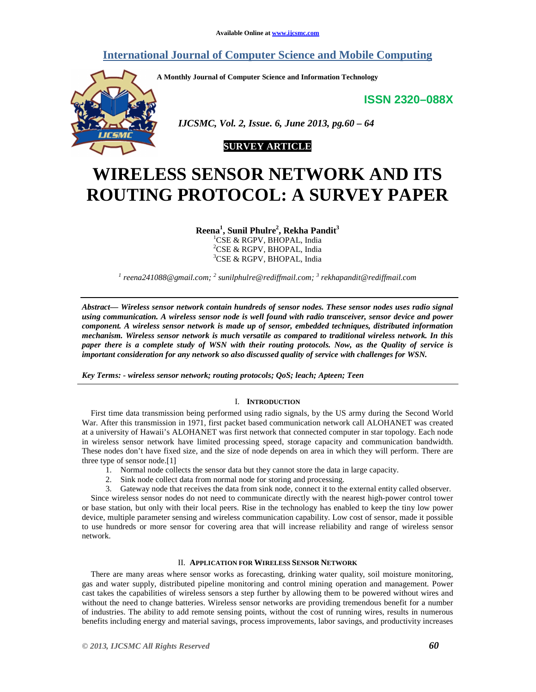# **International Journal of Computer Science and Mobile Computing**

**A Monthly Journal of Computer Science and Information Technology** 

**ISSN 2320–088X**



 *IJCSMC, Vol. 2, Issue. 6, June 2013, pg.60 – 64* 

# **SURVEY ARTICLE**

# **WIRELESS SENSOR NETWORK AND ITS ROUTING PROTOCOL: A SURVEY PAPER**

**Reena<sup>1</sup> , Sunil Phulre<sup>2</sup> , Rekha Pandit<sup>3</sup>**

<sup>1</sup>CSE & RGPV, BHOPAL, India <sup>2</sup>CSE & RGPV, BHOPAL, India <sup>3</sup>CSE & RGPV, BHOPAL, India

<sup>1</sup> reena241088@gmail.com; <sup>2</sup> sunilphulre@rediffmail.com; <sup>3</sup> rekhapandit@rediffmail.com

*Abstract— Wireless sensor network contain hundreds of sensor nodes. These sensor nodes uses radio signal using communication. A wireless sensor node is well found with radio transceiver, sensor device and power component. A wireless sensor network is made up of sensor, embedded techniques, distributed information mechanism. Wireless sensor network is much versatile as compared to traditional wireless network. In this paper there is a complete study of WSN with their routing protocols. Now, as the Quality of service is important consideration for any network so also discussed quality of service with challenges for WSN.* 

*Key Terms: - wireless sensor network; routing protocols; QoS; leach; Apteen; Teen* 

# I. **INTRODUCTION**

First time data transmission being performed using radio signals, by the US army during the Second World War. After this transmission in 1971, first packet based communication network call ALOHANET was created at a university of Hawaii's ALOHANET was first network that connected computer in star topology. Each node in wireless sensor network have limited processing speed, storage capacity and communication bandwidth. These nodes don't have fixed size, and the size of node depends on area in which they will perform. There are three type of sensor node.[1]

- 1. Normal node collects the sensor data but they cannot store the data in large capacity.
- 2. Sink node collect data from normal node for storing and processing.

3. Gateway node that receives the data from sink node, connect it to the external entity called observer.

Since wireless sensor nodes do not need to communicate directly with the nearest high-power control tower or base station, but only with their local peers. Rise in the technology has enabled to keep the tiny low power device, multiple parameter sensing and wireless communication capability. Low cost of sensor, made it possible to use hundreds or more sensor for covering area that will increase reliability and range of wireless sensor network.

# II. **APPLICATION FOR WIRELESS SENSOR NETWORK**

There are many areas where sensor works as forecasting, drinking water quality, soil moisture monitoring, gas and water supply, distributed pipeline monitoring and control mining operation and management. Power cast takes the capabilities of wireless sensors a step further by allowing them to be powered without wires and without the need to change batteries. Wireless sensor networks are providing tremendous benefit for a number of industries. The ability to add remote sensing points, without the cost of running wires, results in numerous benefits including energy and material savings, process improvements, labor savings, and productivity increases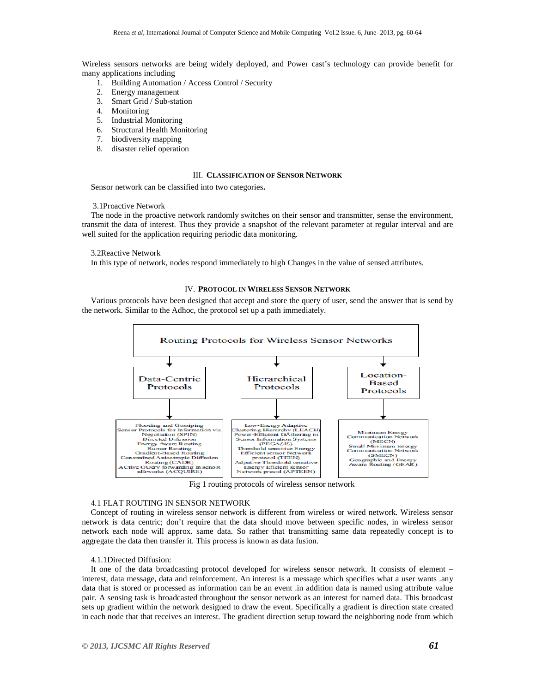Wireless sensors networks are being widely deployed, and Power cast's technology can provide benefit for many applications including

- 1. Building Automation / Access Control / Security
- 2. Energy management
- 3. Smart Grid / Sub-station
- 4. Monitoring
- 5. Industrial Monitoring
- 6. Structural Health Monitoring
- 7. biodiversity mapping
- 8. disaster relief operation

# III. **CLASSIFICATION OF SENSOR NETWORK**

Sensor network can be classified into two categories**.**

#### 3.1Proactive Network

The node in the proactive network randomly switches on their sensor and transmitter, sense the environment, transmit the data of interest. Thus they provide a snapshot of the relevant parameter at regular interval and are well suited for the application requiring periodic data monitoring.

#### 3.2Reactive Network

In this type of network, nodes respond immediately to high Changes in the value of sensed attributes.

# IV. **PROTOCOL IN WIRELESS SENSOR NETWORK**

Various protocols have been designed that accept and store the query of user, send the answer that is send by the network. Similar to the Adhoc, the protocol set up a path immediately.



Fig 1 routing protocols of wireless sensor network

# 4.1 FLAT ROUTING IN SENSOR NETWORK

Concept of routing in wireless sensor network is different from wireless or wired network. Wireless sensor network is data centric; don't require that the data should move between specific nodes, in wireless sensor network each node will approx. same data. So rather that transmitting same data repeatedly concept is to aggregate the data then transfer it. This process is known as data fusion.

#### 4.1.1Directed Diffusion:

It one of the data broadcasting protocol developed for wireless sensor network. It consists of element – interest, data message, data and reinforcement. An interest is a message which specifies what a user wants .any data that is stored or processed as information can be an event .in addition data is named using attribute value pair. A sensing task is broadcasted throughout the sensor network as an interest for named data. This broadcast sets up gradient within the network designed to draw the event. Specifically a gradient is direction state created in each node that that receives an interest. The gradient direction setup toward the neighboring node from which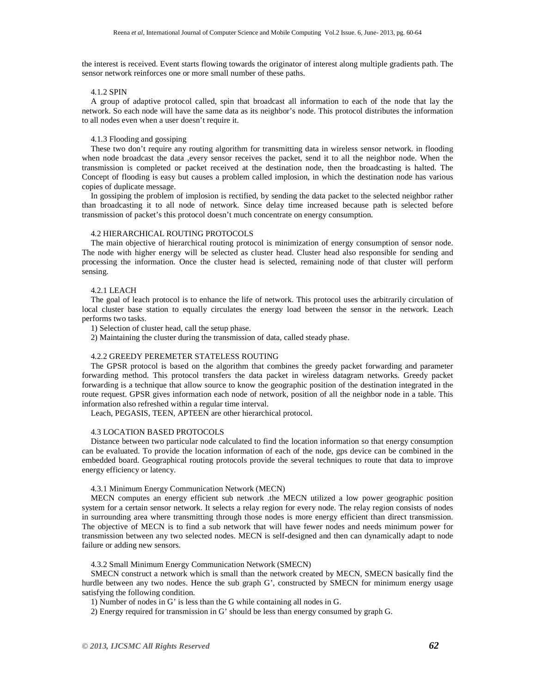the interest is received. Event starts flowing towards the originator of interest along multiple gradients path. The sensor network reinforces one or more small number of these paths.

#### 4.1.2 SPIN

A group of adaptive protocol called, spin that broadcast all information to each of the node that lay the network. So each node will have the same data as its neighbor's node. This protocol distributes the information to all nodes even when a user doesn't require it.

# 4.1.3 Flooding and gossiping

These two don't require any routing algorithm for transmitting data in wireless sensor network. in flooding when node broadcast the data ,every sensor receives the packet, send it to all the neighbor node. When the transmission is completed or packet received at the destination node, then the broadcasting is halted. The Concept of flooding is easy but causes a problem called implosion, in which the destination node has various copies of duplicate message.

In gossiping the problem of implosion is rectified, by sending the data packet to the selected neighbor rather than broadcasting it to all node of network. Since delay time increased because path is selected before transmission of packet's this protocol doesn't much concentrate on energy consumption.

# 4.2 HIERARCHICAL ROUTING PROTOCOLS

The main objective of hierarchical routing protocol is minimization of energy consumption of sensor node. The node with higher energy will be selected as cluster head. Cluster head also responsible for sending and processing the information. Once the cluster head is selected, remaining node of that cluster will perform sensing.

#### 4.2.1 LEACH

The goal of leach protocol is to enhance the life of network. This protocol uses the arbitrarily circulation of local cluster base station to equally circulates the energy load between the sensor in the network. Leach performs two tasks.

1) Selection of cluster head, call the setup phase.

2) Maintaining the cluster during the transmission of data, called steady phase.

# 4.2.2 GREEDY PEREMETER STATELESS ROUTING

The GPSR protocol is based on the algorithm that combines the greedy packet forwarding and parameter forwarding method. This protocol transfers the data packet in wireless datagram networks. Greedy packet forwarding is a technique that allow source to know the geographic position of the destination integrated in the route request. GPSR gives information each node of network, position of all the neighbor node in a table. This information also refreshed within a regular time interval.

Leach, PEGASIS, TEEN, APTEEN are other hierarchical protocol.

# 4.3 LOCATION BASED PROTOCOLS

Distance between two particular node calculated to find the location information so that energy consumption can be evaluated. To provide the location information of each of the node, gps device can be combined in the embedded board. Geographical routing protocols provide the several techniques to route that data to improve energy efficiency or latency.

# 4.3.1 Minimum Energy Communication Network (MECN)

MECN computes an energy efficient sub network .the MECN utilized a low power geographic position system for a certain sensor network. It selects a relay region for every node. The relay region consists of nodes in surrounding area where transmitting through those nodes is more energy efficient than direct transmission. The objective of MECN is to find a sub network that will have fewer nodes and needs minimum power for transmission between any two selected nodes. MECN is self-designed and then can dynamically adapt to node failure or adding new sensors.

4.3.2 Small Minimum Energy Communication Network (SMECN)

SMECN construct a network which is small than the network created by MECN, SMECN basically find the hurdle between any two nodes. Hence the sub graph G', constructed by SMECN for minimum energy usage satisfying the following condition.

1) Number of nodes in G' is less than the G while containing all nodes in G.

2) Energy required for transmission in G' should be less than energy consumed by graph G.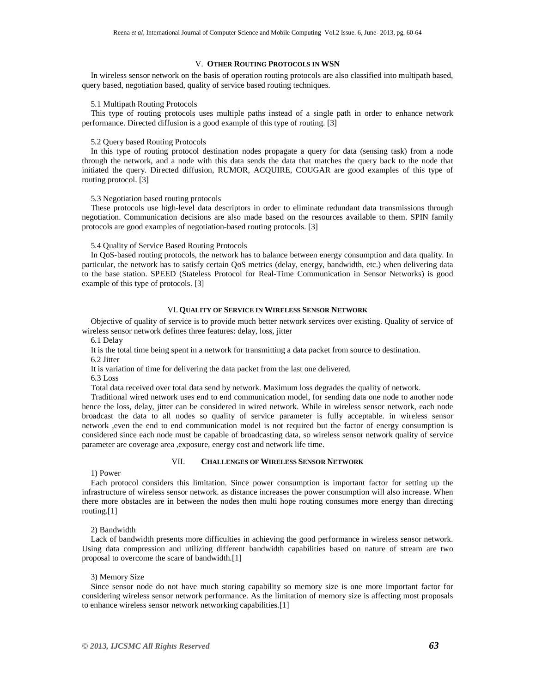#### V. **OTHER ROUTING PROTOCOLS IN WSN**

In wireless sensor network on the basis of operation routing protocols are also classified into multipath based, query based, negotiation based, quality of service based routing techniques.

#### 5.1 Multipath Routing Protocols

This type of routing protocols uses multiple paths instead of a single path in order to enhance network performance. Directed diffusion is a good example of this type of routing. [3]

#### 5.2 Query based Routing Protocols

In this type of routing protocol destination nodes propagate a query for data (sensing task) from a node through the network, and a node with this data sends the data that matches the query back to the node that initiated the query. Directed diffusion, RUMOR, ACQUIRE, COUGAR are good examples of this type of routing protocol. [3]

## 5.3 Negotiation based routing protocols

These protocols use high-level data descriptors in order to eliminate redundant data transmissions through negotiation. Communication decisions are also made based on the resources available to them. SPIN family protocols are good examples of negotiation-based routing protocols. [3]

#### 5.4 Quality of Service Based Routing Protocols

In QoS-based routing protocols, the network has to balance between energy consumption and data quality. In particular, the network has to satisfy certain QoS metrics (delay, energy, bandwidth, etc.) when delivering data to the base station. SPEED (Stateless Protocol for Real-Time Communication in Sensor Networks) is good example of this type of protocols. [3]

# VI.**QUALITY OF SERVICE IN WIRELESS SENSOR NETWORK**

Objective of quality of service is to provide much better network services over existing. Quality of service of wireless sensor network defines three features: delay, loss, jitter

6.1 Delay

It is the total time being spent in a network for transmitting a data packet from source to destination.

6.2 Jitter

It is variation of time for delivering the data packet from the last one delivered.

6.3 Loss

Total data received over total data send by network. Maximum loss degrades the quality of network.

Traditional wired network uses end to end communication model, for sending data one node to another node hence the loss, delay, jitter can be considered in wired network. While in wireless sensor network, each node broadcast the data to all nodes so quality of service parameter is fully acceptable. in wireless sensor network ,even the end to end communication model is not required but the factor of energy consumption is considered since each node must be capable of broadcasting data, so wireless sensor network quality of service parameter are coverage area ,exposure, energy cost and network life time.

#### VII. **CHALLENGES OF WIRELESS SENSOR NETWORK**

1) Power

Each protocol considers this limitation. Since power consumption is important factor for setting up the infrastructure of wireless sensor network. as distance increases the power consumption will also increase. When there more obstacles are in between the nodes then multi hope routing consumes more energy than directing routing.[1]

2) Bandwidth

Lack of bandwidth presents more difficulties in achieving the good performance in wireless sensor network. Using data compression and utilizing different bandwidth capabilities based on nature of stream are two proposal to overcome the scare of bandwidth.[1]

# 3) Memory Size

Since sensor node do not have much storing capability so memory size is one more important factor for considering wireless sensor network performance. As the limitation of memory size is affecting most proposals to enhance wireless sensor network networking capabilities.[1]